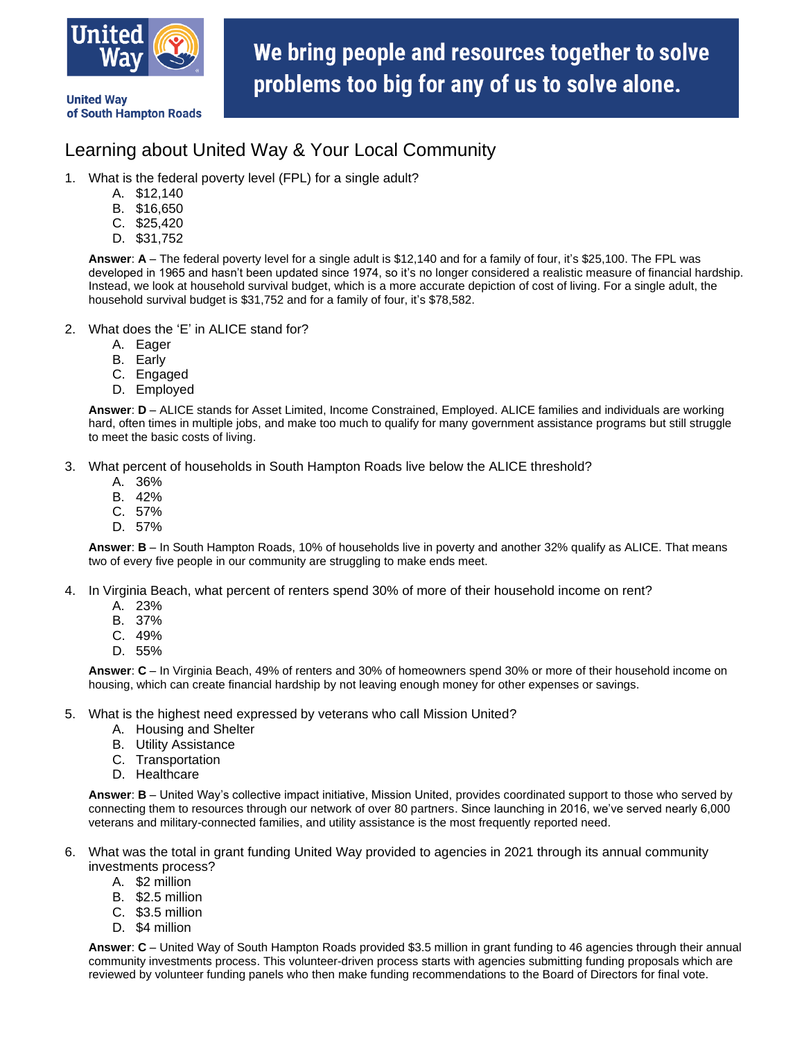

of South Hampton Roads

**United Way** 

We bring people and resources together to solve problems too big for any of us to solve alone.

## Learning about United Way & Your Local Community

- 1. What is the federal poverty level (FPL) for a single adult?
	- A. \$12,140
	- B. \$16,650
	- C. \$25,420
	- D. \$31,752

**Answer**: **A** – The federal poverty level for a single adult is \$12,140 and for a family of four, it's \$25,100. The FPL was developed in 1965 and hasn't been updated since 1974, so it's no longer considered a realistic measure of financial hardship. Instead, we look at household survival budget, which is a more accurate depiction of cost of living. For a single adult, the household survival budget is \$31,752 and for a family of four, it's \$78,582.

- 2. What does the 'E' in ALICE stand for?
	- A. Eager
	- B. Early
	- C. Engaged
	- D. Employed

**Answer**: **D** – ALICE stands for Asset Limited, Income Constrained, Employed. ALICE families and individuals are working hard, often times in multiple jobs, and make too much to qualify for many government assistance programs but still struggle to meet the basic costs of living.

3. What percent of households in South Hampton Roads live below the ALICE threshold?

- A. 36%
- B. 42%
- C. 57%
- D. 57%

**Answer**: **B** – In South Hampton Roads, 10% of households live in poverty and another 32% qualify as ALICE. That means two of every five people in our community are struggling to make ends meet.

- 4. In Virginia Beach, what percent of renters spend 30% of more of their household income on rent?
	- A. 23%
	- B. 37%
	- C. 49%
	- D. 55%

**Answer**: **C** – In Virginia Beach, 49% of renters and 30% of homeowners spend 30% or more of their household income on housing, which can create financial hardship by not leaving enough money for other expenses or savings.

- 5. What is the highest need expressed by veterans who call Mission United?
	- A. Housing and Shelter
	- B. Utility Assistance
	- C. Transportation
	- D. Healthcare

**Answer**: **B** – United Way's collective impact initiative, Mission United, provides coordinated support to those who served by connecting them to resources through our network of over 80 partners. Since launching in 2016, we've served nearly 6,000 veterans and military-connected families, and utility assistance is the most frequently reported need.

- 6. What was the total in grant funding United Way provided to agencies in 2021 through its annual community investments process?
	- A. \$2 million
	- B. \$2.5 million
	- C. \$3.5 million
	- D. \$4 million

**Answer**: **C** – United Way of South Hampton Roads provided \$3.5 million in grant funding to 46 agencies through their annual community investments process. This volunteer-driven process starts with agencies submitting funding proposals which are reviewed by volunteer funding panels who then make funding recommendations to the Board of Directors for final vote.